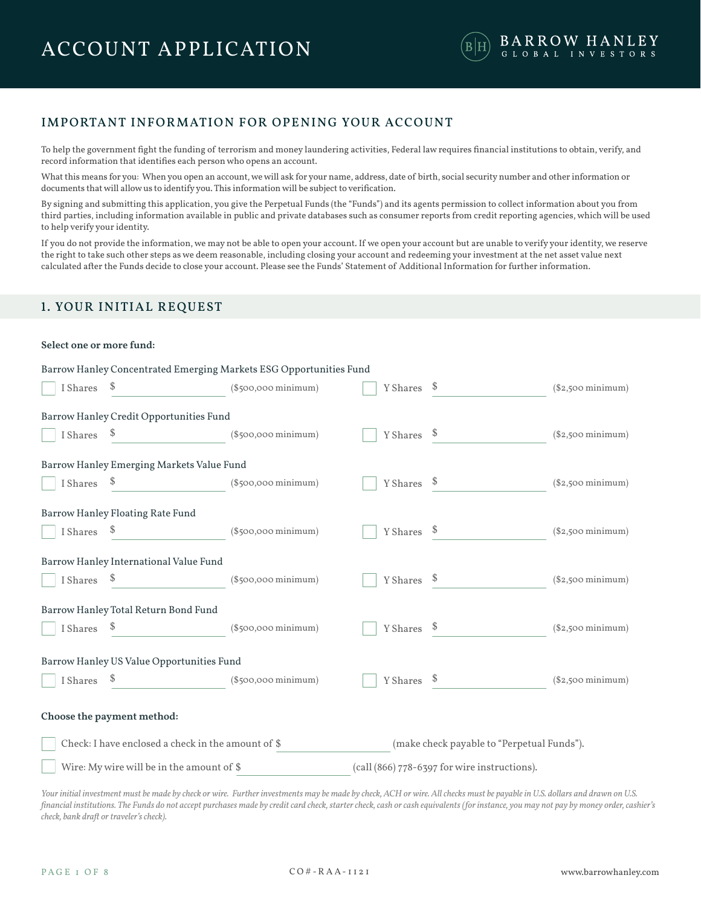# IMPORTANT INFORMATION FOR OPENING YOUR ACCOUNT

To help the government fight the funding of terrorism and money laundering activities, Federal law requires financial institutions to obtain, verify, and record information that identifies each person who opens an account.

What this means for you: When you open an account, we will ask for your name, address, date of birth, social security number and other information or documents that will allow us to identify you. This information will be subject to verification.

By signing and submitting this application, you give the Perpetual Funds (the "Funds") and its agents permission to collect information about you from third parties, including information available in public and private databases such as consumer reports from credit reporting agencies, which will be used to help verify your identity.

If you do not provide the information, we may not be able to open your account. If we open your account but are unable to verify your identity, we reserve the right to take such other steps as we deem reasonable, including closing your account and redeeming your investment at the net asset value next calculated after the Funds decide to close your account. Please see the Funds' Statement of Additional Information for further information.

### 1. YOUR INITIAL REQUEST

#### **Select one or more fund:**

|             | Barrow Hanley Concentrated Emerging Markets ESG Opportunities Fund |                        |             |                                              |                            |
|-------------|--------------------------------------------------------------------|------------------------|-------------|----------------------------------------------|----------------------------|
| I Shares \$ | (§500,000 minimum)                                                 |                        | Y Shares \$ |                                              | (\$2,500 minimum)          |
|             | Barrow Hanley Credit Opportunities Fund                            |                        |             |                                              |                            |
| I Shares    | $\int$                                                             | (\$500,000 minimum)    | Y Shares \$ |                                              | $($2,500 \text{ minimum})$ |
|             | Barrow Hanley Emerging Markets Value Fund                          |                        |             |                                              |                            |
|             | I Shares $\frac{1}{2}$                                             | (\$500,000 minimum)    |             | Y Shares \$                                  | (\$2,500 minimum)          |
|             | Barrow Hanley Floating Rate Fund                                   |                        |             |                                              |                            |
|             | I Shares \$                                                        | $(\$500,000\,minimum)$ | Y Shares \$ |                                              | (\$2,500 minimum)          |
|             | Barrow Hanley International Value Fund                             |                        |             |                                              |                            |
|             | I Shares \$                                                        | (\$500,000 minimum)    |             | $Y$ Shares $\quad$                           | $($2,500 \text{ minimum})$ |
|             | Barrow Hanley Total Return Bond Fund                               |                        |             |                                              |                            |
| I Shares \$ |                                                                    | (\$500,000 minimum)    | Y Shares \$ |                                              | $($2,500 \text{ minimum})$ |
|             | Barrow Hanley US Value Opportunities Fund                          |                        |             |                                              |                            |
|             |                                                                    |                        |             | Y Shares \$                                  | (\$2,500 minimum)          |
|             | Choose the payment method:                                         |                        |             |                                              |                            |
|             | Check: I have enclosed a check in the amount of \$                 |                        |             | (make check payable to "Perpetual Funds").   |                            |
|             | Wire: My wire will be in the amount of \$                          |                        |             | (call (866) 778-6397 for wire instructions). |                            |

*Your initial investment must be made by check or wire. Further investments may be made by check, ACH or wire. All checks must be payable in U.S. dollars and drawn on U.S. financial institutions. The Funds do not accept purchases made by credit card check, starter check, cash or cash equivalents (for instance, you may not pay by money order, cashier's check, bank draft or traveler's check).*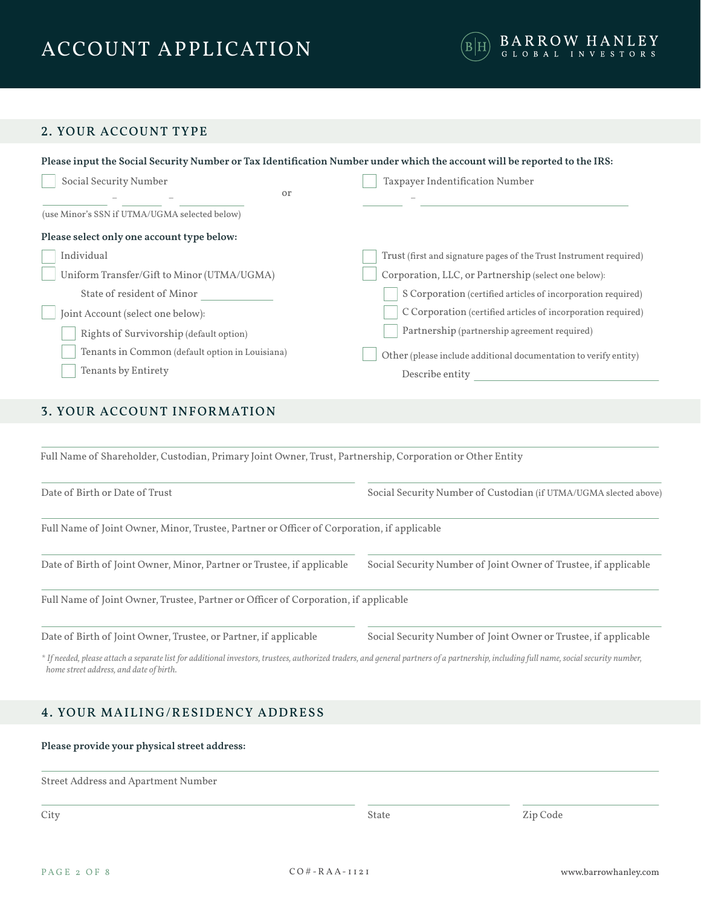

# 2. YOUR ACCOUNT TYPE

| Please input the Social Security Number or Tax Identification Number under which the account will be reported to the IRS: |                                                                    |
|---------------------------------------------------------------------------------------------------------------------------|--------------------------------------------------------------------|
| Social Security Number                                                                                                    | Taxpayer Indentification Number                                    |
| or                                                                                                                        |                                                                    |
| (use Minor's SSN if UTMA/UGMA selected below)                                                                             |                                                                    |
| Please select only one account type below:                                                                                |                                                                    |
| Individual                                                                                                                | Trust (first and signature pages of the Trust Instrument required) |
| Uniform Transfer/Gift to Minor (UTMA/UGMA)                                                                                | Corporation, LLC, or Partnership (select one below):               |
| State of resident of Minor                                                                                                | S Corporation (certified articles of incorporation required)       |
| Joint Account (select one below):                                                                                         | C Corporation (certified articles of incorporation required)       |
| Rights of Survivorship (default option)                                                                                   | Partnership (partnership agreement required)                       |
| Tenants in Common (default option in Louisiana)                                                                           | Other (please include additional documentation to verify entity)   |
| Tenants by Entirety                                                                                                       | Describe entity                                                    |
|                                                                                                                           |                                                                    |

# 3. YOUR ACCOUNT INFORMATION

Full Name of Shareholder, Custodian, Primary Joint Owner, Trust, Partnership, Corporation or Other Entity Full Name of Joint Owner, Minor, Trustee, Partner or Officer of Corporation, if applicable Full Name of Joint Owner, Trustee, Partner or Officer of Corporation, if applicable Date of Birth or Date of Trust Date of Birth of Joint Owner, Minor, Partner or Trustee, if applicable Social Security Number of Custodian (if UTMA/UGMA slected above) Social Security Number of Joint Owner of Trustee, if applicable

Date of Birth of Joint Owner, Trustee, or Partner, if applicable

Social Security Number of Joint Owner or Trustee, if applicable

*\* If needed, please attach a separate list for additional investors, trustees, authorized traders, and general partners of a partnership, including full name, social security number, home street address, and date of birth.*

# 4. YOUR MAILING/RESIDENCY ADDRESS

### **Please provide your physical street address:**

Street Address and Apartment Number

**City** 

State Zip Code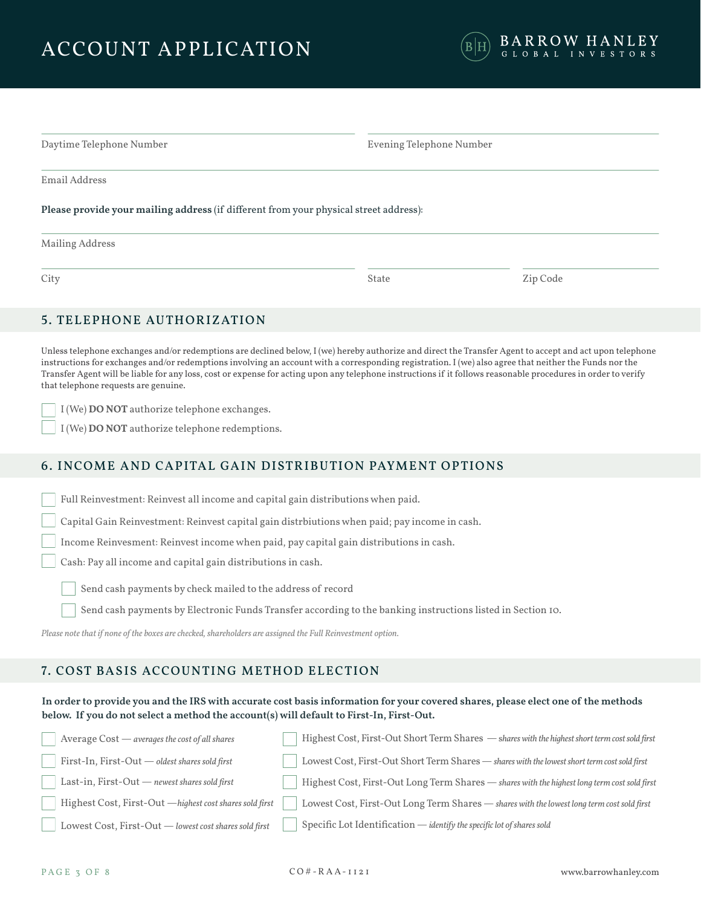

| Daytime Telephone Number                                                              | Evening Telephone Number |
|---------------------------------------------------------------------------------------|--------------------------|
| Email Address                                                                         |                          |
| Please provide your mailing address (if different from your physical street address): |                          |
| Mailing Address                                                                       |                          |

City **State State State State State** State State State State State State State State State State State State State State State State State State State State State State State State State State State State State State State

# 5. TELEPHONE AUTHORIZATION

Unless telephone exchanges and/or redemptions are declined below,  $I(we)$  hereby authorize and direct the Transfer Agent to accept and act upon telephone instructions for exchanges and/or redemptions involving an account with a corresponding registration. I (we) also agree that neither the Funds nor the Transfer Agent will be liable for any loss, cost or expense for acting upon any telephone instructions if it follows reasonable procedures in order to verify that telephone requests are genuine.

I (We) **DO NOT** authorize telephone exchanges.

I (We) **DO NOT** authorize telephone redemptions.

# 6. INCOME AND CAPITAL GAIN DISTRIBUTION PAYMENT OPTIONS

Full Reinvestment: Reinvest all income and capital gain distributions when paid.

Capital Gain Reinvestment: Reinvest capital gain distrbiutions when paid; pay income in cash.

Income Reinvesment: Reinvest income when paid, pay capital gain distributions in cash.

Cash: Pay all income and capital gain distributions in cash.

Send cash payments by check mailed to the address of record

Send cash payments by Electronic Funds Transfer according to the banking instructions listed in Section 10.

*Please note that if none of the boxes are checked, shareholders are assigned the Full Reinvestment option.*

### 7. COST BASIS ACCOUNTING METHOD ELECTION

### **In order to provide you and the IRS with accurate cost basis information for your covered shares, please elect one of the methods below. If you do not select a method the account(s) will default to First-In, First-Out.**

| Average Cost - averages the cost of all shares          | Highest Cost, First-Out Short Term Shares - shares with the highest short term cost sold first |
|---------------------------------------------------------|------------------------------------------------------------------------------------------------|
| First-In, First-Out $-$ oldest shares sold first        | Lowest Cost, First-Out Short Term Shares - shares with the lowest short term cost sold first   |
| Last-in, $First-Out$ — newest shares sold first         | Highest Cost, First-Out Long Term Shares — shares with the highest long term cost sold first   |
| Highest Cost, First-Out —highest cost shares sold first | Lowest Cost, First-Out Long Term Shares - shares with the lowest long term cost sold first     |
| Lowest Cost, First-Out - lowest cost shares sold first  | Specific Lot Identification - identify the specific lot of shares sold                         |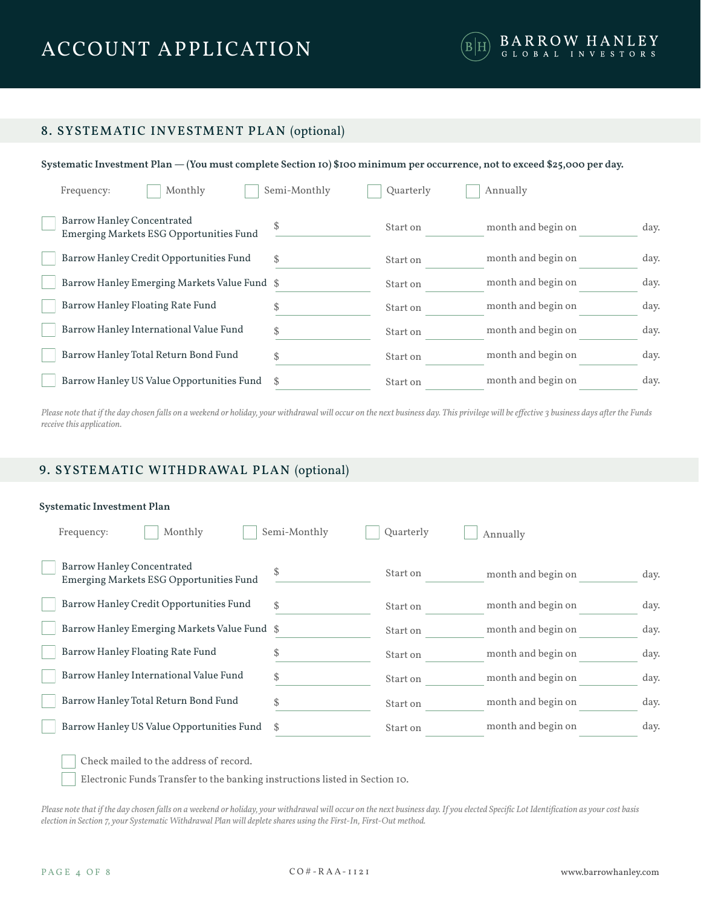

# 8. SYSTEMATIC INVESTMENT PLAN (optional)

### **Systematic Investment Plan — (You must complete Section 10) \$100 minimum per occurrence, not to exceed \$25,000 per day.**

| Monthly<br>Frequency:                                                        | Semi-Monthly | Quarterly | Annually           |      |
|------------------------------------------------------------------------------|--------------|-----------|--------------------|------|
| Barrow Hanley Concentrated<br><b>Emerging Markets ESG Opportunities Fund</b> | S            | Start on  | month and begin on | day. |
| Barrow Hanley Credit Opportunities Fund                                      | \$           | Start on  | month and begin on | day. |
| Barrow Hanley Emerging Markets Value Fund \$                                 |              | Start on  | month and begin on | day. |
| Barrow Hanley Floating Rate Fund                                             | S            | Start on  | month and begin on | day. |
| Barrow Hanley International Value Fund                                       | \$           | Start on  | month and begin on | day. |
| Barrow Hanley Total Return Bond Fund                                         | \$           | Start on  | month and begin on | day. |
| Barrow Hanley US Value Opportunities Fund                                    |              | Start on  | month and begin on | day. |

*Please note that if the day chosen falls on a weekend or holiday, your withdrawal will occur on the next business day. This privilege will be effective 3 business days after the Funds receive this application.*

# 9. SYSTEMATIC WITHDRAWAL PLAN (optional)

### **Systematic Investment Plan**

| Monthly<br>Frequency:                                                        | Semi-Monthly | Quarterly | Annually           |      |
|------------------------------------------------------------------------------|--------------|-----------|--------------------|------|
| <b>Barrow Hanley Concentrated</b><br>Emerging Markets ESG Opportunities Fund | \$           | Start on  | month and begin on | day. |
| Barrow Hanley Credit Opportunities Fund                                      | \$           | Start on  | month and begin on | day. |
| Barrow Hanley Emerging Markets Value Fund \$                                 |              | Start on  | month and begin on | day. |
| Barrow Hanley Floating Rate Fund                                             |              | Start on  | month and begin on | day. |
| Barrow Hanley International Value Fund                                       | \$           | Start on  | month and begin on | day. |
| Barrow Hanley Total Return Bond Fund                                         | \$           | Start on  | month and begin on | day. |
| Barrow Hanley US Value Opportunities Fund                                    | \$           | Start on  | month and begin on | day. |
|                                                                              |              |           |                    |      |

Check mailed to the address of record.

Electronic Funds Transfer to the banking instructions listed in Section 10.

*Please note that if the day chosen falls on a weekend or holiday, your withdrawal will occur on the next business day. If you elected Specific Lot Identification as your cost basis election in Section 7, your Systematic Withdrawal Plan will deplete shares using the First-In, First-Out method.*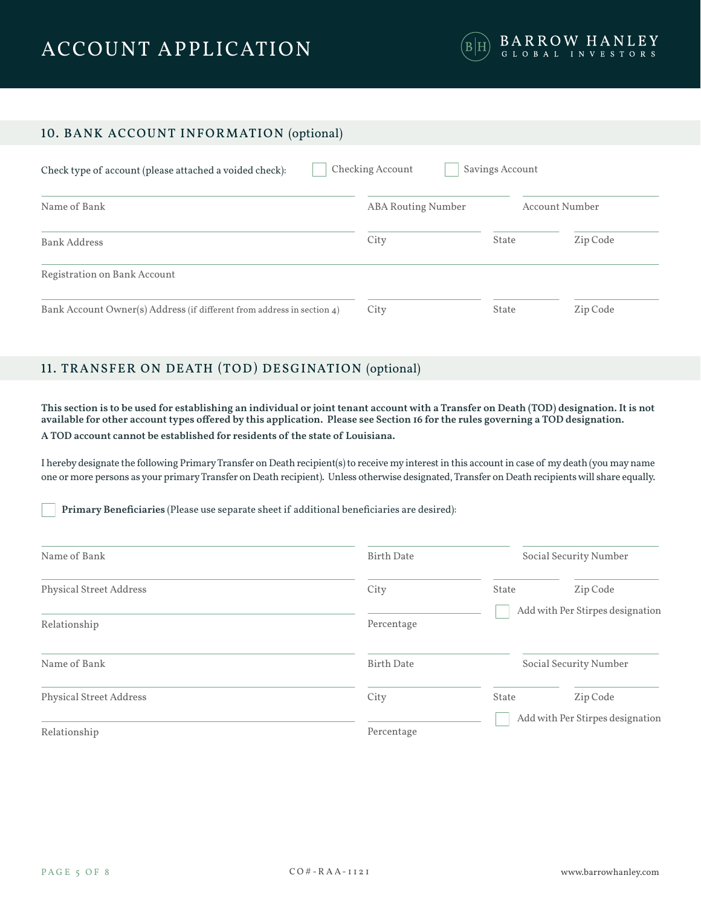

# 10. BANK ACCOUNT INFORMATION (optional)

| Check type of account (please attached a voided check):                | Checking Account<br>Savings Account |       |                |  |
|------------------------------------------------------------------------|-------------------------------------|-------|----------------|--|
| Name of Bank                                                           | <b>ABA Routing Number</b>           |       | Account Number |  |
| Bank Address                                                           | City                                | State | Zip Code       |  |
| Registration on Bank Account                                           |                                     |       |                |  |
| Bank Account Owner(s) Address (if different from address in section 4) | City                                | State | Zip Code       |  |

# 11. TRANSFER ON DEATH (TOD) DESGINATION (optional)

**This section is to be used for establishing an individual or joint tenant account with a Transfer on Death (TOD) designation. It is not available for other account types offered by this application. Please see Section 16 for the rules governing a TOD designation. A TOD account cannot be established for residents of the state of Louisiana.**

I hereby designate the following Primary Transfer on Death recipient(s) to receive my interest in this account in case of my death (you may name one or more persons as your primary Transfer on Death recipient). Unless otherwise designated, Transfer on Death recipients will share equally.

**Primary Beneficiaries** (Please use separate sheet if additional beneficiaries are desired):

| Name of Bank                   | <b>Birth Date</b> |                                  | Social Security Number           |
|--------------------------------|-------------------|----------------------------------|----------------------------------|
| <b>Physical Street Address</b> | City              | State                            | Zip Code                         |
| Relationship                   | Percentage        | Add with Per Stirpes designation |                                  |
| Name of Bank                   | <b>Birth Date</b> |                                  | Social Security Number           |
| <b>Physical Street Address</b> | City              | State                            | Zip Code                         |
| Relationship                   | Percentage        |                                  | Add with Per Stirpes designation |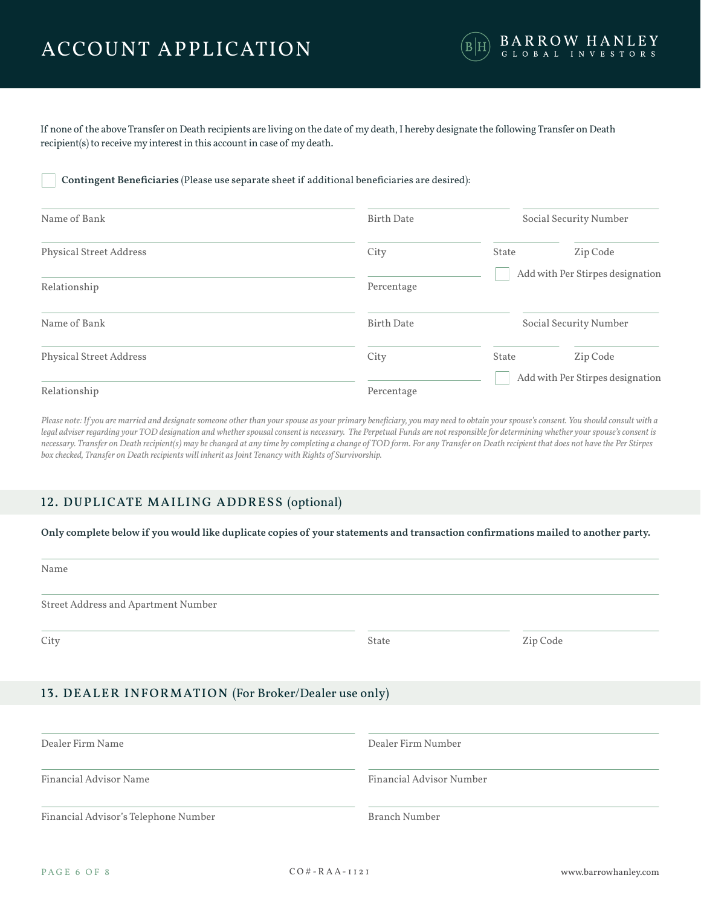

If none of the above Transfer on Death recipients are living on the date of my death, I hereby designate the following Transfer on Death recipient(s) to receive my interest in this account in case of my death.

### **Contingent Beneficiaries** (Please use separate sheet if additional beneficiaries are desired):

| Name of Bank            | <b>Birth Date</b> |       | Social Security Number           |
|-------------------------|-------------------|-------|----------------------------------|
| Physical Street Address | City              | State | Zip Code                         |
| Relationship            | Percentage        |       | Add with Per Stirpes designation |
| Name of Bank            | <b>Birth Date</b> |       | Social Security Number           |
| Physical Street Address | City              | State | Zip Code                         |
| Relationship            | Percentage        |       | Add with Per Stirpes designation |

*Please note: If you are married and designate someone other than your spouse as your primary beneficiary, you may need to obtain your spouse's consent. You should consult with a*  legal adviser regarding your TOD designation and whether spousal consent is necessary. The Perpetual Funds are not responsible for determining whether your spouse's consent is *necessary. Transfer on Death recipient(s) may be changed at any time by completing a change of TOD form. For any Transfer on Death recipient that does not have the Per Stirpes box checked, Transfer on Death recipients will inherit as Joint Tenancy with Rights of Survivorship.*

# 12. DUPLICATE MAILING ADDRESS (optional)

### **Only complete below if you would like duplicate copies of your statements and transaction confirmations mailed to another party.**

| M.<br>٠ |
|---------|
|---------|

Street Address and Apartment Number

City **State State State State State State** State State State State State State State State State State State State State State State State State State State State State State State State State State State State State State

# 13. DEALER INFORMATION (For Broker/Dealer use only)

| Dealer Firm Name                     | Dealer Firm Number       |
|--------------------------------------|--------------------------|
| Financial Advisor Name               | Financial Advisor Number |
| Financial Advisor's Telephone Number | Branch Number            |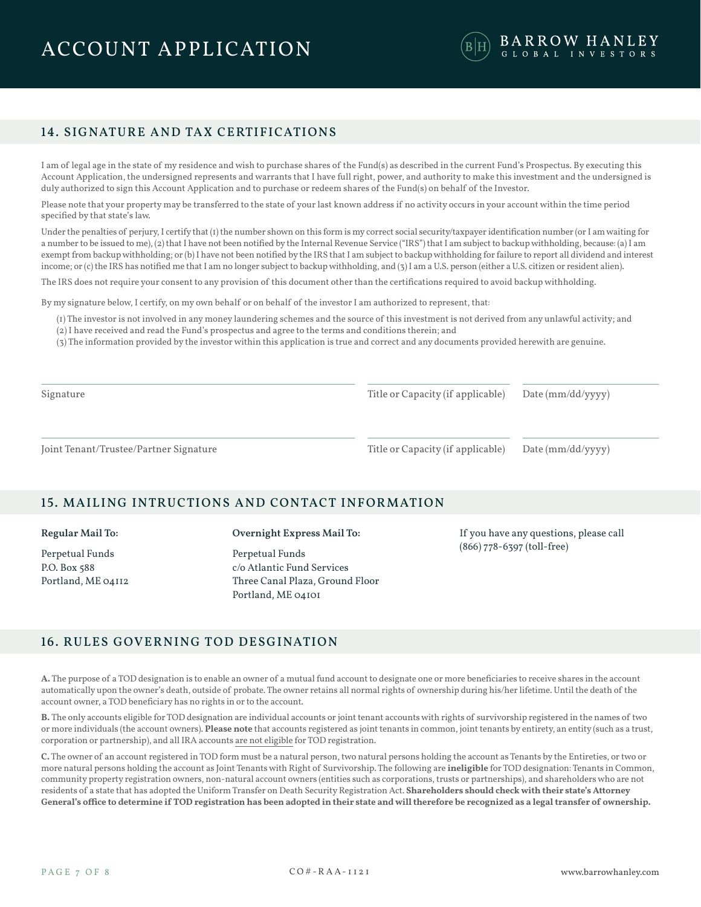# 14. SIGNATURE AND TAX CERTIFICATIONS

I am of legal age in the state of my residence and wish to purchase shares of the Fund(s) as described in the current Fund's Prospectus. By executing this Account Application, the undersigned represents and warrants that I have full right, power, and authority to make this investment and the undersigned is duly authorized to sign this Account Application and to purchase or redeem shares of the Fund(s) on behalf of the Investor.

Please note that your property may be transferred to the state of your last known address if no activity occurs in your account within the time period specified by that state's law.

Under the penalties of perjury, I certify that (1) the number shown on this form is my correct social security/taxpayer identification number (or I am waiting for a number to be issued to me), (2) that I have not been notified by the Internal Revenue Service ("IRS") that I am subject to backup withholding, because: (a) I am exempt from backup withholding; or (b) I have not been notified by the IRS that I am subject to backup withholding for failure to report all dividend and interest income; or (c) the IRS has notified me that I am no longer subject to backup withholding, and (3) I am a U.S. person (either a U.S. citizen or resident alien).

The IRS does not require your consent to any provision of this document other than the certifications required to avoid backup withholding.

By my signature below, I certify, on my own behalf or on behalf of the investor I am authorized to represent, that:

(1) The investor is not involved in any money laundering schemes and the source of this investment is not derived from any unlawful activity; and (2) I have received and read the Fund's prospectus and agree to the terms and conditions therein; and

(3) The information provided by the investor within this application is true and correct and any documents provided herewith are genuine.

Signature

Title or Capacity (if applicable)

Date (mm/dd/yyyy)

Joint Tenant/Trustee/Partner Signature

Title or Capacity (if applicable)

Date (mm/dd/yyyy)

### 15. MAILING INTRUCTIONS AND CONTACT INFORMATION

#### **Regular Mail To:**

Perpetual Funds P.O. Box 588 Portland, ME 04112 **Overnight Express Mail To:**

Perpetual Funds c/o Atlantic Fund Services Three Canal Plaza, Ground Floor Portland, ME 04101

If you have any questions, please call (866) 778-6397 (toll-free)

# 16. RULES GOVERNING TOD DESGINATION

**A.** The purpose of a TOD designation is to enable an owner of a mutual fund account to designate one or more beneficiaries to receive shares in the account automatically upon the owner's death, outside of probate. The owner retains all normal rights of ownership during his/her lifetime. Until the death of the account owner, a TOD beneficiary has no rights in or to the account.

**B.** The only accounts eligible for TOD designation are individual accounts or joint tenant accounts with rights of survivorship registered in the names of two or more individuals (the account owners). **Please note** that accounts registered as joint tenants in common, joint tenants by entirety, an entity (such as a trust, corporation or partnership), and all IRA accounts are not eligible for TOD registration.

**C.** The owner of an account registered in TOD form must be a natural person, two natural persons holding the account as Tenants by the Entireties, or two or more natural persons holding the account as Joint Tenants with Right of Survivorship. The following are **ineligible** for TOD designation: Tenants in Common, community property registration owners, non-natural account owners (entities such as corporations, trusts or partnerships), and shareholders who are not residents of a state that has adopted the Uniform Transfer on Death Security Registration Act. **Shareholders should check with their state's Attorney General's office to determine if TOD registration has been adopted in their state and will therefore be recognized as a legal transfer of ownership.**